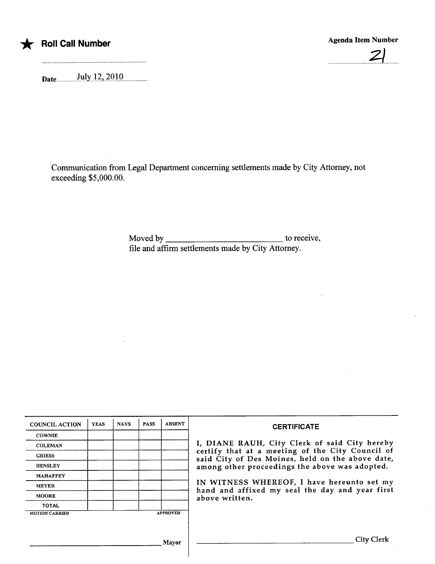

## \* Roll Call Number Agenda Item Number Agenda Item Number Agenda Item Number

 $2^{n}$ 

Date.uu.........u...t1.lyJu7iu7..QJQ.uu..uu...uu...

Communication from Legal Department concerning settlements made by City Attorney, not exceeding \$5,000.00.

> Moved by  $\frac{1}{\sqrt{1-\frac{1}{\sqrt{1-\frac{1}{\sqrt{1-\frac{1}{\sqrt{1-\frac{1}{\sqrt{1-\frac{1}{\sqrt{1-\frac{1}{\sqrt{1-\frac{1}{\sqrt{1-\frac{1}{\sqrt{1-\frac{1}{\sqrt{1-\frac{1}{\sqrt{1-\frac{1}{\sqrt{1-\frac{1}{\sqrt{1-\frac{1}{\sqrt{1-\frac{1}{\sqrt{1-\frac{1}{\sqrt{1-\frac{1}{\sqrt{1-\frac{1}{\sqrt{1-\frac{1}{\sqrt{1-\frac{1}{\sqrt{1-\frac{1}{\sqrt{1-\frac{1}{\sqrt{1-\frac{1}{\sqrt{1-\frac{1$ fie and affirm settlements made by City Attorney.

| <b>COUNCIL ACTION</b> | <b>YEAS</b> | <b>NAYS</b> | <b>PASS</b> | <b>ABSENT</b>   | <b>CERTIFICATE</b>                                                                                                                                                                                                                                                                                                         |
|-----------------------|-------------|-------------|-------------|-----------------|----------------------------------------------------------------------------------------------------------------------------------------------------------------------------------------------------------------------------------------------------------------------------------------------------------------------------|
| <b>COWNIE</b>         |             |             |             |                 | I, DIANE RAUH, City Clerk of said City hereby<br>certify that at a meeting of the City Council of<br>said City of Des Moines, held on the above date,<br>among other proceedings the above was adopted.<br>IN WITNESS WHEREOF, I have hereunto set my<br>hand and affixed my seal the day and year first<br>above written. |
| <b>COLEMAN</b>        |             |             |             |                 |                                                                                                                                                                                                                                                                                                                            |
| <b>GRIESS</b>         |             |             |             |                 |                                                                                                                                                                                                                                                                                                                            |
| <b>HENSLEY</b>        |             |             |             |                 |                                                                                                                                                                                                                                                                                                                            |
| <b>MAHAFFEY</b>       |             |             |             |                 |                                                                                                                                                                                                                                                                                                                            |
| <b>MEYER</b>          |             |             |             |                 |                                                                                                                                                                                                                                                                                                                            |
| <b>MOORE</b>          |             |             |             |                 |                                                                                                                                                                                                                                                                                                                            |
| <b>TOTAL</b>          |             |             |             |                 |                                                                                                                                                                                                                                                                                                                            |
| <b>MOTION CARRIED</b> |             |             |             | <b>APPROVED</b> |                                                                                                                                                                                                                                                                                                                            |
|                       |             |             |             |                 |                                                                                                                                                                                                                                                                                                                            |
|                       |             |             |             | Mavor           | City Clerk                                                                                                                                                                                                                                                                                                                 |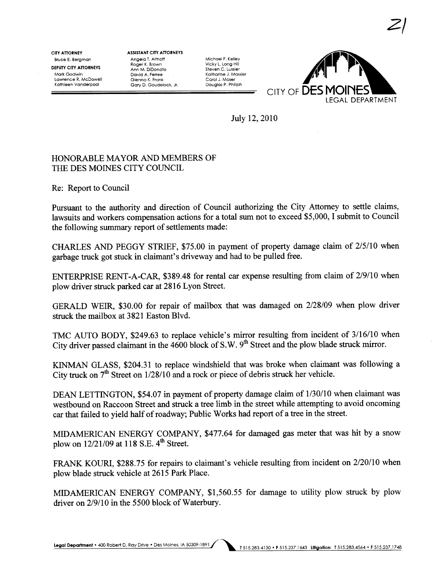Bruce E. Bergman CITY ATTORNEY DEPUTY CITY ATTORNEYS Mark Godwin Lawrence R. McDowell Kathleen Vanderpool

ASSISTANT CITY ATTORNEYS Angelo T. Althoff Roger K. Brown Ann M. DIDonato David A. Ferree Glenna K. Frank Gory D. Gaudelack, Jr.

Michael F. Kelley Vicky L. Long Hill Steven C. Lussier Katharine J. Massier Carol J. Moser Douglas P. Phlliph



2/

July 12,2010

## HONORABLE MAYOR AND MEMBERS OF THE DES MOINES CITY COUNCIL

Re: Report to Council

Pursuant to the authority and direction of Council authorizing the City Attorney to settle claims, lawsuits and workers compensation actions for a total sum not to exceed \$5,000, I submit to Council the following summary report of settlements made:

CHARLES AND PEGGY STRIEF, \$75.00 in payment of property damage claim of 2/5/10 when garbage truck got stuck in claimant's driveway and had to be pulled free.

ENTERPRISE RENT-A-CAR, \$389.48 for rental car expense resulting from claim of 2/9/10 when plow driver struck parked car at 2816 Lyon Street.

GERALD WEIR, \$30.00 for repair of mailbox that was damaged on 2/28/09 when plow driver struck the mailbox at 3821 Easton Blvd.

TMC AUTO BODY, \$249.63 to replace vehicle's mirror resulting from incident of 3/16/10 when City driver passed claimant in the 4600 block of S.W. 9<sup>th</sup> Street and the plow blade struck mirror.

KIMAN GLASS, \$204.31 to replace windshield that was broke when claimant was following a City truck on  $7<sup>th</sup>$  Street on  $1/28/10$  and a rock or piece of debris struck her vehicle.

DEAN LETTINGTON, \$54.07 in payment of property damage claim of 1/30/10 when claimant was westbound on Raccoon Street and struck a tree limb in the street while attempting to avoid oncoming car that failed to yield half of roadway; Public Works had report of a tree in the street.

MIDAMERICAN ENERGY COMPANY, \$477.64 for damaged gas meter that was hit by a snow plow on  $12/21/09$  at 118 S.E. 4<sup>th</sup> Street.

FRAK KOURI, \$288.75 for repairs to claimant's vehicle resulting from incident on 2/20/10 when plow blade struck vehicle at 2615 Park Place.

MIDAMERICAN ENERGY COMPANY, \$1,560.55 for damage to utilty plow struck by plow driver on 2/9/10 in the 5500 block of Waterbury.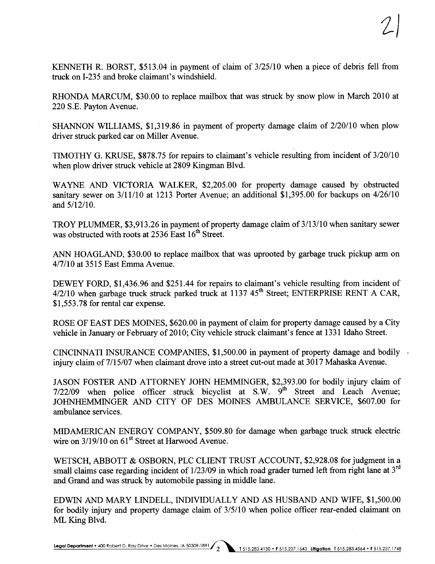KENNETH R. BORST, \$513.04 in payment of claim of 3/25/10 when a piece of debris fell from truck on I-235 and broke claimant's windshield.

RHONDA MARCUM, \$30.00 to replace mailbox that was struck by snow plow in March 2010 at 220 S.E. Payton Avenue.

SHANON WILLIAMS, \$1,319.86 in payment of property damage claim of 2/20/10 when plow driver struck parked car on Miller Avenue.

TIMOTHY G. KRUSE, \$878.75 for repairs to claimant's vehicle resulting from incident of 3/20/10 when plow driver struck vehicle at 2809 Kingman Blvd.

WAYNE AND VICTORIA WALKER, \$2,205.00 for property damage caused by obstructed sanitary sewer on  $3/11/10$  at 1213 Porter Avenue; an additional \$1,395.00 for backups on  $4/26/10$ and 5/12/10.

TROY PLUMMER, \$3,913.26 in payment of property damage claim of 3/13/10 when sanitary sewer was obstructed with roots at  $2536$  East  $16^{th}$  Street.

ANN HOAGLAND, \$30.00 to replace mailbox that was uprooted by garbage truck pickup arm on 4/7/10 at 3515 East Emma Avenue.

DEWEY FORD, \$1,436.96 and \$251.44 for repairs to claimant's vehicle resulting from incident of  $4/2/10$  when garbage truck struck parked truck at 1137 45<sup>th</sup> Street; ENTERPRISE RENT A CAR, \$1,553.78 for rental car expense.

ROSE OF EAST DES MOINES, \$620.00 in payment of claim for property damage caused by a City vehicle in January or February of 2010; City vehicle struck claimant's fence at 1331 Idaho Street.

CINCINNATI INSURANCE COMPANIES,  $$1,500.00$  in payment of property damage and bodily injury claim of 7/15/07 when claimant drove into a street cut-out made at 3017 Mahaska Avenue.

JASON FOSTER AND ATTORNEY JOHN HEMMINGER, \$2,393.00 for bodily injury claim of 7/22/09 when police officer struck bicyclist at S.W. 9<sup>th</sup> Street and Leach Avenue; JOHNHEMMINGER AND CITY OF DES MOINES AMBULANCE SERVICE, \$607.00 for ambulance services.

MIDAMERICAN ENERGY COMPANY, \$509.80 for damage when garbage truck struck electric wire on  $3/19/10$  on  $61<sup>st</sup>$  Street at Harwood Avenue.

WETSCH, ABBOTT & OSBORN, PLC CLIENT TRUST ACCOUNT, \$2,928.08 for judgment in a small claims case regarding incident of  $1/23/09$  in which road grader turned left from right lane at  $3<sup>rd</sup>$ and Grand and was struck by automobile passing in middle lane.

EDWIN AND MARY LINDELL, INDIVIDUALLY AND AS HUSBAND AND WIFE, \$1,500.00 for bodily injury and property damage claim of  $3/5/10$  when police officer rear-ended claimant on ML King Blvd.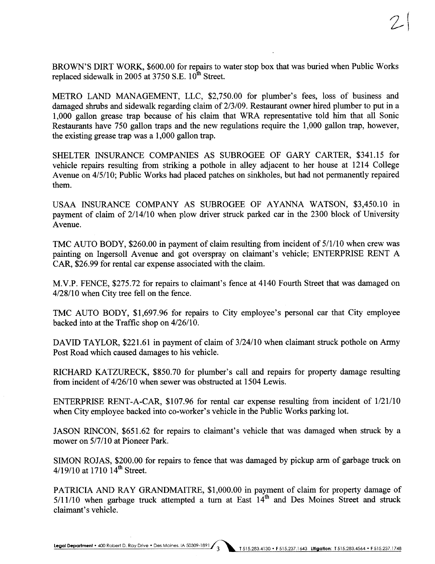BROWN'S DIRT WORK, \$600.00 for repairs to water stop box that was bured when Public Works replaced sidewalk in 2005 at 3750 S.E.  $10^{th}$  Street.

METRO LAND MANAGEMENT, LLC, \$2,750.00 for plumber's fees, loss of business and damaged shrubs and sidewalk regarding claim of  $2/3/09$ . Restaurant owner hired plumber to put in a 1,000 gallon grease trap because of his claim that WRA representative told him that all Sonic Restaurants have 750 gallon traps and the new regulations require the 1,000 gallon trap, however, the existing grease trap was a 1,000 gallon trap.

SHELTER INSURANCE COMPANIES AS SUBROGEE OF GARY CARTER, \$341.15 for vehicle repairs resulting from striking a pothole in alley adjacent to her house at 1214 College Avenue on  $4/5/10$ ; Public Works had placed patches on sinkholes, but had not permanently repaired them.

USAA INSURACE COMPANY AS SUBROGEE OF AYANNA WATSON, \$3,450.10 in payment of claim of  $2/14/10$  when plow driver struck parked car in the  $2300$  block of University Avenue.

TMC AUTO BODY, \$260.00 in payment of claim resulting from incident of 5/1/10 when crew was painting on Ingersoll Avenue and got overspray on claimant's vehicle; ENTERPRISE RENT A CAR, \$26.99 for rental car expense associated with the claim.

M.V.P. FENCE, \$275.72 for repairs to claimant's fence at 4140 Fourh Street that was damaged on 4/28/10 when City tree fell on the fence.

TMC AUTO BODY, \$1,697.96 for repairs to City employee's personal car that City employee backed into at the Traffic shop on 4/26/10.

DAVID TAYLOR, \$221.61 in payment of claim of 3/24/10 when claimant struck pothole on Army Post Road which caused damages to his vehicle.

RICHARD KATZURECK, \$850.70 for plumber's call and repairs for property damage resulting from incident of 4/26/10 when sewer was obstructed at 1504 Lewis.

ENTERPRISE RENT-A-CAR, \$107.96 for rental car expense resulting from incident of 1/21/10 when City employee backed into co-worker's vehicle in the Public Works parking lot.

JASON RINCON, \$651.62 for repairs to claimant's vehicle that was damaged when struck by a mower on 5/7/10 at Pioneer Park.

SIMON ROJAS, \$200.00 for repairs to fence that was damaged by pickup arm of garbage truck on  $4/19/10$  at 1710  $14<sup>th</sup>$  Street.

PATRICIA AND RAY GRANDMAITRE, \$1,000.00 in payment of claim for property damage of  $5/11/10$  when garbage truck attempted a turn at East  $14<sup>th</sup>$  and Des Moines Street and struck claimant's vehicle.